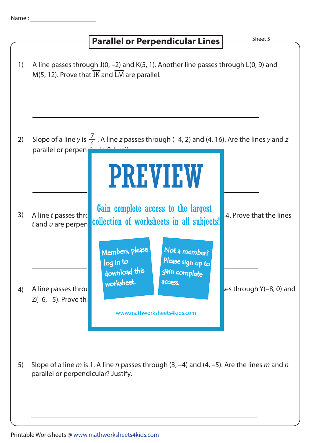## **Parallel or Perpendicular Lines Sheet 5**

| 1) |                                                 | A line passes through J(0, -2) and K(5, 1). Another line passes through L(0, 9) and<br>M(5, 12). Prove that $\overrightarrow{JK}$ and $\overrightarrow{LM}$ are parallel.               |
|----|-------------------------------------------------|-----------------------------------------------------------------------------------------------------------------------------------------------------------------------------------------|
| 2) | parallel or perpen                              | Slope of a line y is $\frac{1}{4}$ . A line z passes through (-4, 2) and (4, 16). Are the lines y and z                                                                                 |
| 3) | A line t passes thro<br>$t$ and $u$ are perpen  | <b>PREVIEW</b><br>Gain complete access to the largest<br>4. Prove that the lines<br>collection of worksheets in all subjects!                                                           |
| 4) | A line passes throu<br>$Z(-6, -5)$ . Prove that | Members, please<br>Not a member?<br>Please sign up to<br>log in to<br>download this<br>gain complete<br>worksheet.<br>access.<br>es through Y(-8, 0) and<br>www.mathworksheets4kids.com |
| 5) | parallel or perpendicular? Justify.             | Slope of a line m is 1. A line n passes through $(3, -4)$ and $(4, -5)$ . Are the lines m and n                                                                                         |